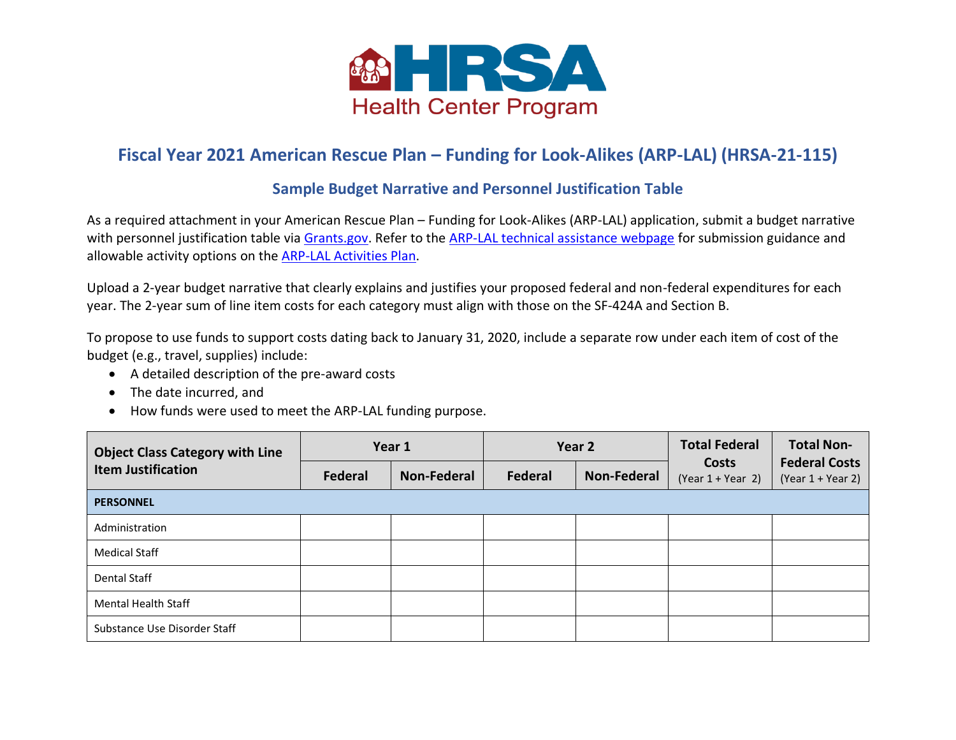

## **Fiscal Year 2021 American Rescue Plan – Funding for Look-Alikes (ARP-LAL) (HRSA-21-115)**

## **Sample Budget Narrative and Personnel Justification Table**

As a required attachment in your American Rescue Plan – Funding for Look-Alikes (ARP-LAL) application, submit a budget narrative with personnel justification table via [Grants.gov.](https://www.grants.gov/web/grants/view-opportunity.html?oppId=327181) Refer to the [ARP-LAL technical assistance webpage](https://bphc.hrsa.gov/program-opportunities/arpa-funding-look-alikes) for submission guidance and allowable activity options on the [ARP-LAL Activities Plan.](https://bphc.hrsa.gov/sites/default/files/bphc/programopportunities/h8f/fy-2021-arp-lal-activities-plan.pdf)

Upload a 2-year budget narrative that clearly explains and justifies your proposed federal and non-federal expenditures for each year. The 2-year sum of line item costs for each category must align with those on the SF-424A and Section B.

To propose to use funds to support costs dating back to January 31, 2020, include a separate row under each item of cost of the budget (e.g., travel, supplies) include:

- A detailed description of the pre-award costs
- The date incurred, and
- How funds were used to meet the ARP-LAL funding purpose.

| <b>Object Class Category with Line</b><br><b>Item Justification</b> |                | Year 1             | Year 2  |                    | <b>Total Federal</b>         | <b>Total Non-</b>                           |
|---------------------------------------------------------------------|----------------|--------------------|---------|--------------------|------------------------------|---------------------------------------------|
|                                                                     | <b>Federal</b> | <b>Non-Federal</b> | Federal | <b>Non-Federal</b> | Costs<br>$(Year 1 + Year 2)$ | <b>Federal Costs</b><br>$(Year 1 + Year 2)$ |
| <b>PERSONNEL</b>                                                    |                |                    |         |                    |                              |                                             |
| Administration                                                      |                |                    |         |                    |                              |                                             |
| <b>Medical Staff</b>                                                |                |                    |         |                    |                              |                                             |
| Dental Staff                                                        |                |                    |         |                    |                              |                                             |
| <b>Mental Health Staff</b>                                          |                |                    |         |                    |                              |                                             |
| Substance Use Disorder Staff                                        |                |                    |         |                    |                              |                                             |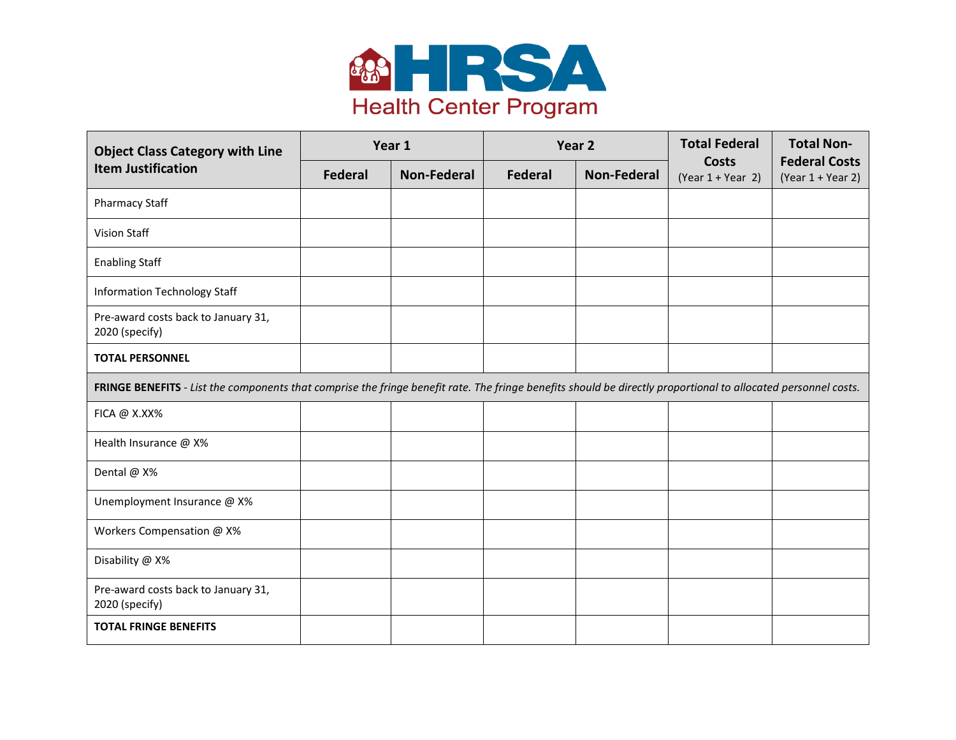

| <b>Object Class Category with Line</b>                                                                                                                         |                | Year 1             | Year <sub>2</sub> |                    | <b>Total Federal</b>                | <b>Total Non-</b>                           |
|----------------------------------------------------------------------------------------------------------------------------------------------------------------|----------------|--------------------|-------------------|--------------------|-------------------------------------|---------------------------------------------|
| <b>Item Justification</b>                                                                                                                                      | <b>Federal</b> | <b>Non-Federal</b> | Federal           | <b>Non-Federal</b> | <b>Costs</b><br>$(Year 1 + Year 2)$ | <b>Federal Costs</b><br>$(Year 1 + Year 2)$ |
| Pharmacy Staff                                                                                                                                                 |                |                    |                   |                    |                                     |                                             |
| Vision Staff                                                                                                                                                   |                |                    |                   |                    |                                     |                                             |
| <b>Enabling Staff</b>                                                                                                                                          |                |                    |                   |                    |                                     |                                             |
| <b>Information Technology Staff</b>                                                                                                                            |                |                    |                   |                    |                                     |                                             |
| Pre-award costs back to January 31,<br>2020 (specify)                                                                                                          |                |                    |                   |                    |                                     |                                             |
| <b>TOTAL PERSONNEL</b>                                                                                                                                         |                |                    |                   |                    |                                     |                                             |
| FRINGE BENEFITS - List the components that comprise the fringe benefit rate. The fringe benefits should be directly proportional to allocated personnel costs. |                |                    |                   |                    |                                     |                                             |
| FICA @ X.XX%                                                                                                                                                   |                |                    |                   |                    |                                     |                                             |
| Health Insurance @ X%                                                                                                                                          |                |                    |                   |                    |                                     |                                             |
| Dental @ X%                                                                                                                                                    |                |                    |                   |                    |                                     |                                             |
| Unemployment Insurance @ X%                                                                                                                                    |                |                    |                   |                    |                                     |                                             |
| Workers Compensation @ X%                                                                                                                                      |                |                    |                   |                    |                                     |                                             |
| Disability @ X%                                                                                                                                                |                |                    |                   |                    |                                     |                                             |
| Pre-award costs back to January 31,<br>2020 (specify)                                                                                                          |                |                    |                   |                    |                                     |                                             |
| <b>TOTAL FRINGE BENEFITS</b>                                                                                                                                   |                |                    |                   |                    |                                     |                                             |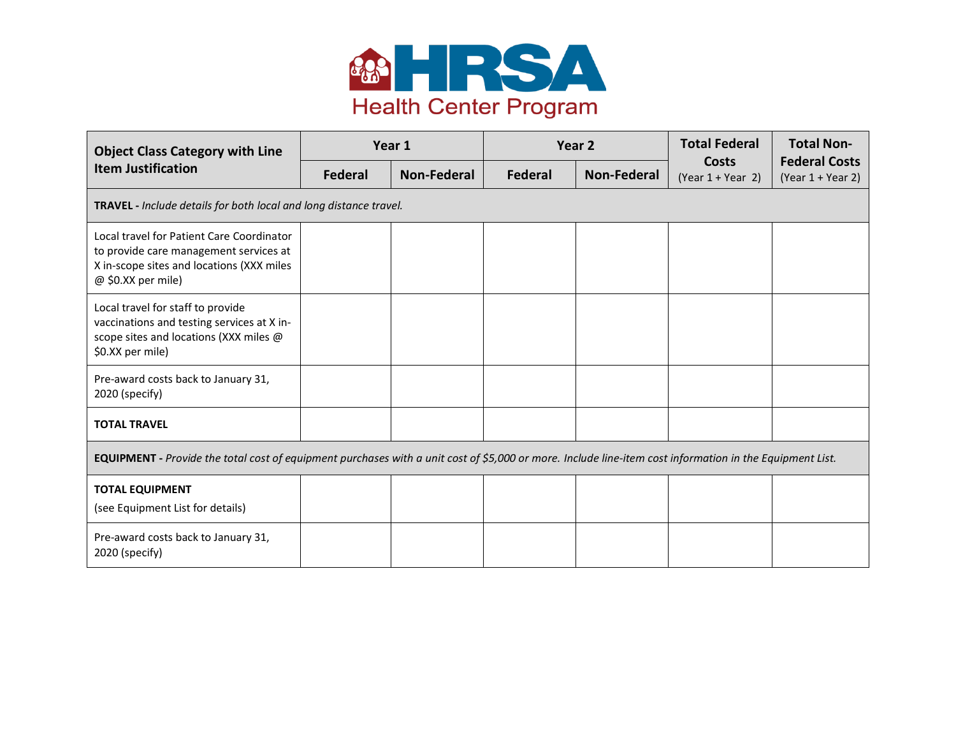

| <b>Object Class Category with Line</b>                                                                                                                   |         | Year 1<br>Year <sub>2</sub> |         |                    | <b>Total Federal</b>                | <b>Total Non-</b>                           |
|----------------------------------------------------------------------------------------------------------------------------------------------------------|---------|-----------------------------|---------|--------------------|-------------------------------------|---------------------------------------------|
| <b>Item Justification</b>                                                                                                                                | Federal | <b>Non-Federal</b>          | Federal | <b>Non-Federal</b> | <b>Costs</b><br>$(Year 1 + Year 2)$ | <b>Federal Costs</b><br>$(Year 1 + Year 2)$ |
| <b>TRAVEL</b> - Include details for both local and long distance travel.                                                                                 |         |                             |         |                    |                                     |                                             |
| Local travel for Patient Care Coordinator<br>to provide care management services at<br>X in-scope sites and locations (XXX miles<br>@ \$0.XX per mile)   |         |                             |         |                    |                                     |                                             |
| Local travel for staff to provide<br>vaccinations and testing services at X in-<br>scope sites and locations (XXX miles @<br>\$0.XX per mile)            |         |                             |         |                    |                                     |                                             |
| Pre-award costs back to January 31,<br>2020 (specify)                                                                                                    |         |                             |         |                    |                                     |                                             |
| <b>TOTAL TRAVEL</b>                                                                                                                                      |         |                             |         |                    |                                     |                                             |
| EQUIPMENT - Provide the total cost of equipment purchases with a unit cost of \$5,000 or more. Include line-item cost information in the Equipment List. |         |                             |         |                    |                                     |                                             |
| <b>TOTAL EQUIPMENT</b><br>(see Equipment List for details)                                                                                               |         |                             |         |                    |                                     |                                             |
| Pre-award costs back to January 31,<br>2020 (specify)                                                                                                    |         |                             |         |                    |                                     |                                             |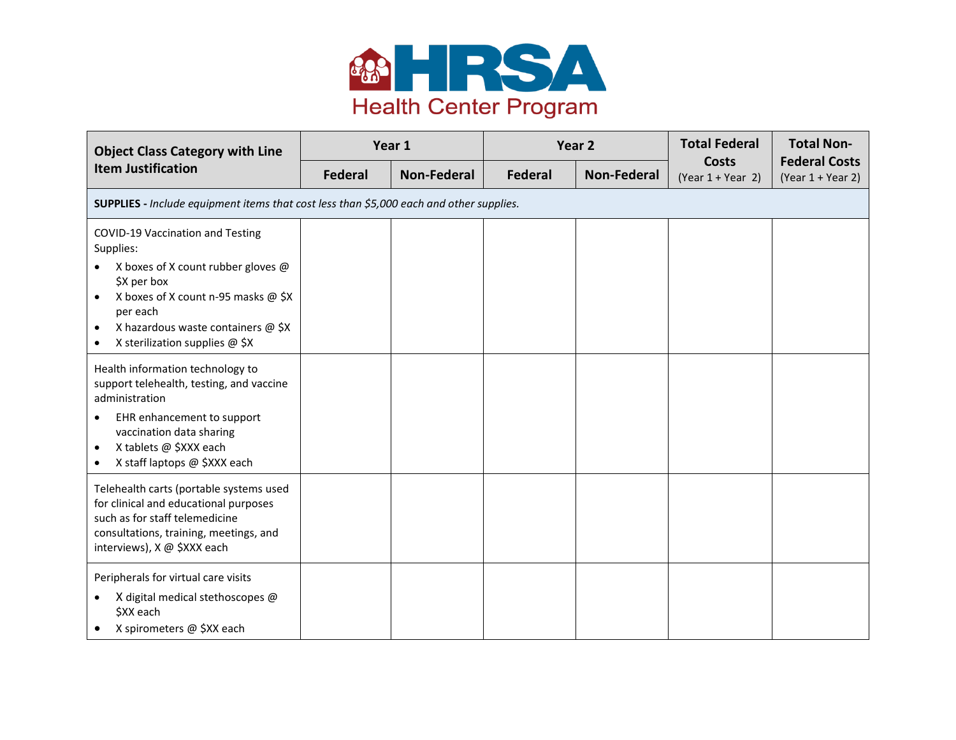

| <b>Object Class Category with Line</b>                                                                                                                                                                 |                | Year 1             | Year 2         |                    | <b>Total Federal</b>                | <b>Total Non-</b>                           |
|--------------------------------------------------------------------------------------------------------------------------------------------------------------------------------------------------------|----------------|--------------------|----------------|--------------------|-------------------------------------|---------------------------------------------|
| <b>Item Justification</b>                                                                                                                                                                              | <b>Federal</b> | <b>Non-Federal</b> | <b>Federal</b> | <b>Non-Federal</b> | <b>Costs</b><br>$(Year 1 + Year 2)$ | <b>Federal Costs</b><br>$(Year 1 + Year 2)$ |
| SUPPLIES - Include equipment items that cost less than \$5,000 each and other supplies.                                                                                                                |                |                    |                |                    |                                     |                                             |
| COVID-19 Vaccination and Testing<br>Supplies:                                                                                                                                                          |                |                    |                |                    |                                     |                                             |
| X boxes of X count rubber gloves @<br>\$X per box<br>X boxes of X count n-95 masks @ \$X<br>$\bullet$<br>per each<br>X hazardous waste containers @ \$X<br>$\bullet$<br>X sterilization supplies @ \$X |                |                    |                |                    |                                     |                                             |
| Health information technology to<br>support telehealth, testing, and vaccine<br>administration                                                                                                         |                |                    |                |                    |                                     |                                             |
| EHR enhancement to support<br>vaccination data sharing<br>X tablets @ \$XXX each<br>X staff laptops @ \$XXX each                                                                                       |                |                    |                |                    |                                     |                                             |
| Telehealth carts (portable systems used<br>for clinical and educational purposes<br>such as for staff telemedicine<br>consultations, training, meetings, and<br>interviews), X @ \$XXX each            |                |                    |                |                    |                                     |                                             |
| Peripherals for virtual care visits<br>X digital medical stethoscopes @<br>\$XX each<br>X spirometers @ \$XX each                                                                                      |                |                    |                |                    |                                     |                                             |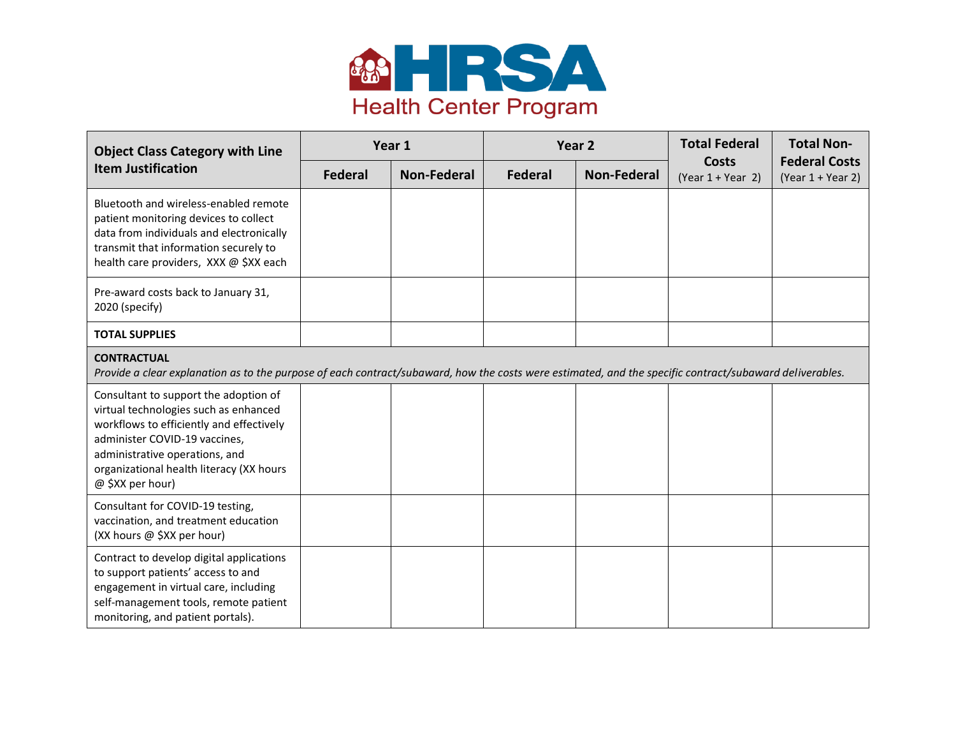

| <b>Object Class Category with Line</b>                                                                                                                                                                                                                        |                | Year 1             | Year <sub>2</sub> |                    | <b>Total Federal</b>                | <b>Total Non-</b>                           |
|---------------------------------------------------------------------------------------------------------------------------------------------------------------------------------------------------------------------------------------------------------------|----------------|--------------------|-------------------|--------------------|-------------------------------------|---------------------------------------------|
| <b>Item Justification</b>                                                                                                                                                                                                                                     | <b>Federal</b> | <b>Non-Federal</b> | <b>Federal</b>    | <b>Non-Federal</b> | <b>Costs</b><br>$(Year 1 + Year 2)$ | <b>Federal Costs</b><br>$(Year 1 + Year 2)$ |
| Bluetooth and wireless-enabled remote<br>patient monitoring devices to collect<br>data from individuals and electronically<br>transmit that information securely to<br>health care providers, XXX @ \$XX each                                                 |                |                    |                   |                    |                                     |                                             |
| Pre-award costs back to January 31,<br>2020 (specify)                                                                                                                                                                                                         |                |                    |                   |                    |                                     |                                             |
| <b>TOTAL SUPPLIES</b>                                                                                                                                                                                                                                         |                |                    |                   |                    |                                     |                                             |
| <b>CONTRACTUAL</b><br>Provide a clear explanation as to the purpose of each contract/subaward, how the costs were estimated, and the specific contract/subaward deliverables.                                                                                 |                |                    |                   |                    |                                     |                                             |
| Consultant to support the adoption of<br>virtual technologies such as enhanced<br>workflows to efficiently and effectively<br>administer COVID-19 vaccines,<br>administrative operations, and<br>organizational health literacy (XX hours<br>@ \$XX per hour) |                |                    |                   |                    |                                     |                                             |
| Consultant for COVID-19 testing,<br>vaccination, and treatment education<br>(XX hours @ \$XX per hour)                                                                                                                                                        |                |                    |                   |                    |                                     |                                             |
| Contract to develop digital applications<br>to support patients' access to and<br>engagement in virtual care, including<br>self-management tools, remote patient<br>monitoring, and patient portals).                                                         |                |                    |                   |                    |                                     |                                             |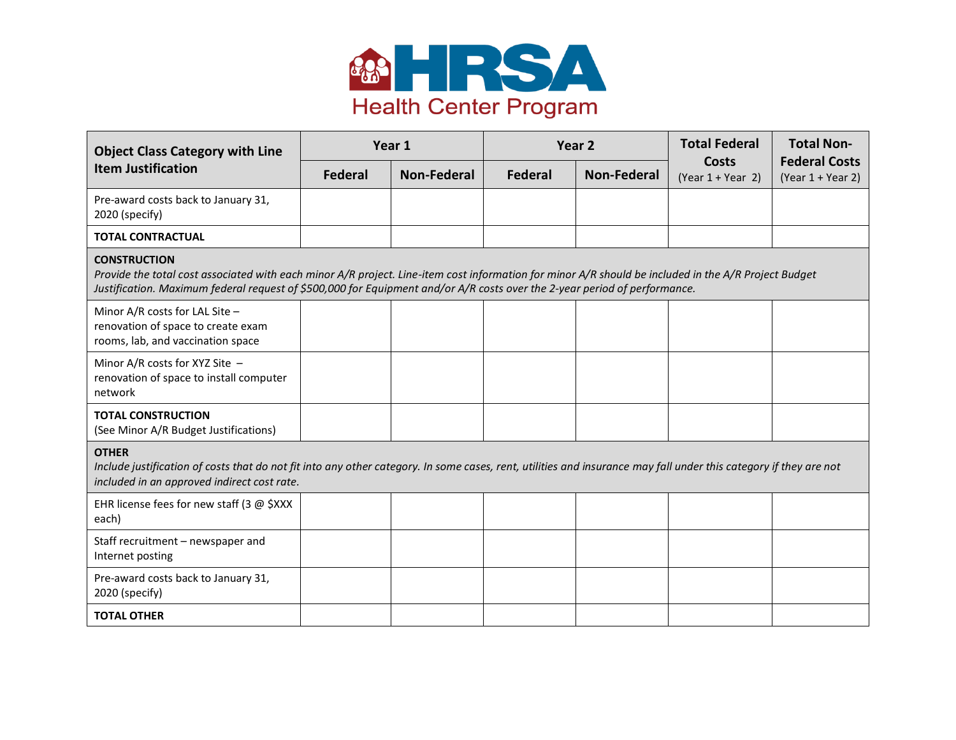

| <b>Object Class Category with Line</b>                                                                                                                                                                                                                                                                   |                | Year <sub>2</sub><br>Year 1 |                | <b>Total Federal</b> | <b>Total Non-</b>                   |                                             |
|----------------------------------------------------------------------------------------------------------------------------------------------------------------------------------------------------------------------------------------------------------------------------------------------------------|----------------|-----------------------------|----------------|----------------------|-------------------------------------|---------------------------------------------|
| <b>Item Justification</b>                                                                                                                                                                                                                                                                                | <b>Federal</b> | Non-Federal                 | <b>Federal</b> | <b>Non-Federal</b>   | <b>Costs</b><br>$(Year 1 + Year 2)$ | <b>Federal Costs</b><br>$(Year 1 + Year 2)$ |
| Pre-award costs back to January 31,<br>2020 (specify)                                                                                                                                                                                                                                                    |                |                             |                |                      |                                     |                                             |
| <b>TOTAL CONTRACTUAL</b>                                                                                                                                                                                                                                                                                 |                |                             |                |                      |                                     |                                             |
| <b>CONSTRUCTION</b><br>Provide the total cost associated with each minor A/R project. Line-item cost information for minor A/R should be included in the A/R Project Budget<br>Justification. Maximum federal request of \$500,000 for Equipment and/or A/R costs over the 2-year period of performance. |                |                             |                |                      |                                     |                                             |
| Minor A/R costs for LAL Site $-$<br>renovation of space to create exam<br>rooms, lab, and vaccination space                                                                                                                                                                                              |                |                             |                |                      |                                     |                                             |
| Minor A/R costs for XYZ Site -<br>renovation of space to install computer<br>network                                                                                                                                                                                                                     |                |                             |                |                      |                                     |                                             |
| <b>TOTAL CONSTRUCTION</b><br>(See Minor A/R Budget Justifications)                                                                                                                                                                                                                                       |                |                             |                |                      |                                     |                                             |
| <b>OTHER</b><br>Include justification of costs that do not fit into any other category. In some cases, rent, utilities and insurance may fall under this category if they are not<br>included in an approved indirect cost rate.                                                                         |                |                             |                |                      |                                     |                                             |
| EHR license fees for new staff (3 $\omega$ \$XXX<br>each)                                                                                                                                                                                                                                                |                |                             |                |                      |                                     |                                             |
| Staff recruitment - newspaper and<br>Internet posting                                                                                                                                                                                                                                                    |                |                             |                |                      |                                     |                                             |
| Pre-award costs back to January 31,<br>2020 (specify)                                                                                                                                                                                                                                                    |                |                             |                |                      |                                     |                                             |
| <b>TOTAL OTHER</b>                                                                                                                                                                                                                                                                                       |                |                             |                |                      |                                     |                                             |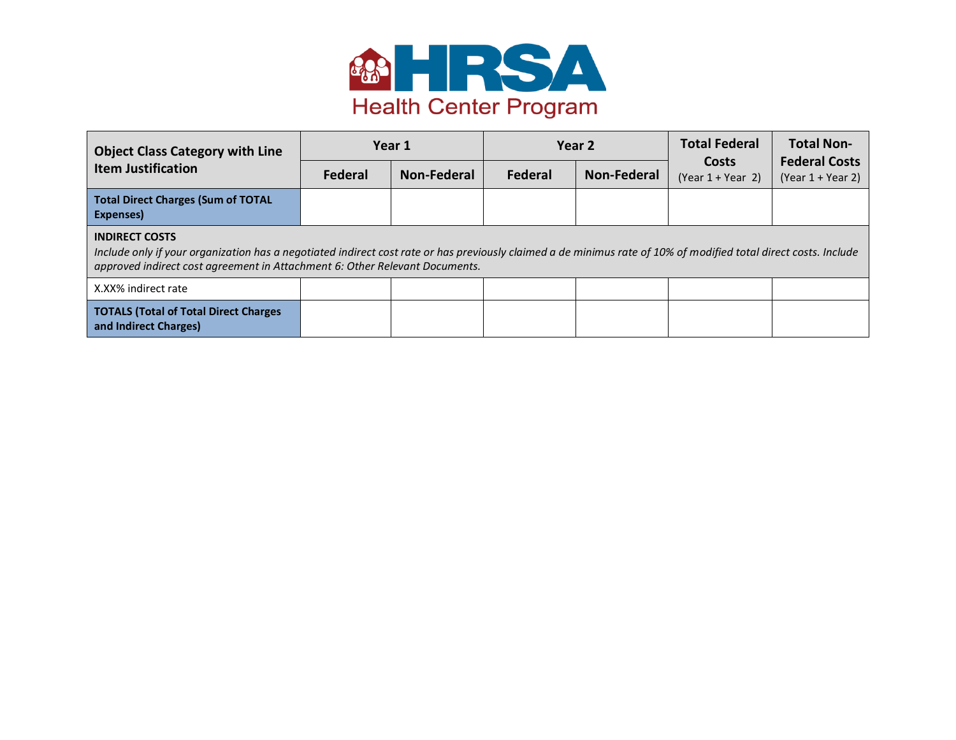

| <b>Object Class Category with Line</b><br><b>Item Justification</b>                                                                                                                                                                                                      |                | Year 1      | Year 2  |             | <b>Total Federal</b>         | <b>Total Non-</b>                           |
|--------------------------------------------------------------------------------------------------------------------------------------------------------------------------------------------------------------------------------------------------------------------------|----------------|-------------|---------|-------------|------------------------------|---------------------------------------------|
|                                                                                                                                                                                                                                                                          | <b>Federal</b> | Non-Federal | Federal | Non-Federal | Costs<br>$(Year 1 + Year 2)$ | <b>Federal Costs</b><br>$(Year 1 + Year 2)$ |
| <b>Total Direct Charges (Sum of TOTAL</b><br>Expenses)                                                                                                                                                                                                                   |                |             |         |             |                              |                                             |
| <b>INDIRECT COSTS</b><br>Include only if your organization has a negotiated indirect cost rate or has previously claimed a de minimus rate of 10% of modified total direct costs. Include<br>approved indirect cost agreement in Attachment 6: Other Relevant Documents. |                |             |         |             |                              |                                             |
| X.XX% indirect rate                                                                                                                                                                                                                                                      |                |             |         |             |                              |                                             |
| <b>TOTALS (Total of Total Direct Charges)</b><br>and Indirect Charges)                                                                                                                                                                                                   |                |             |         |             |                              |                                             |